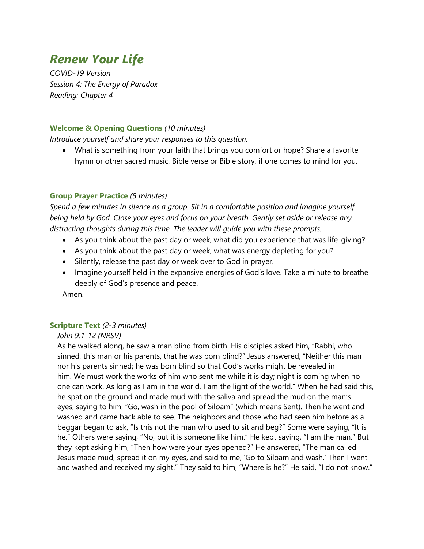# *Renew Your Life*

*COVID-19 Version Session 4: The Energy of Paradox Reading: Chapter 4*

#### **Welcome & Opening Questions** *(10 minutes)*

*Introduce yourself and share your responses to this question:*

• What is something from your faith that brings you comfort or hope? Share a favorite hymn or other sacred music, Bible verse or Bible story, if one comes to mind for you.

#### **Group Prayer Practice** *(5 minutes)*

*Spend a few minutes in silence as a group. Sit in a comfortable position and imagine yourself being held by God. Close your eyes and focus on your breath. Gently set aside or release any distracting thoughts during this time. The leader will guide you with these prompts.*

- As you think about the past day or week, what did you experience that was life-giving?
- As you think about the past day or week, what was energy depleting for you?
- Silently, release the past day or week over to God in prayer.
- Imagine yourself held in the expansive energies of God's love. Take a minute to breathe deeply of God's presence and peace.

Amen.

#### **Scripture Text** *(2-3 minutes)*

#### *John 9:1-12 (NRSV)*

As he walked along, he saw a man blind from birth. His disciples asked him, "Rabbi, who sinned, this man or his parents, that he was born blind?" Jesus answered, "Neither this man nor his parents sinned; he was born blind so that God's works might be revealed in him. We must work the works of him who sent me while it is day; night is coming when no one can work. As long as I am in the world, I am the light of the world." When he had said this, he spat on the ground and made mud with the saliva and spread the mud on the man's eyes, saying to him, "Go, wash in the pool of Siloam" (which means Sent). Then he went and washed and came back able to see. The neighbors and those who had seen him before as a beggar began to ask, "Is this not the man who used to sit and beg?" Some were saying, "It is he." Others were saying, "No, but it is someone like him." He kept saying, "I am the man." But they kept asking him, "Then how were your eyes opened?" He answered, "The man called Jesus made mud, spread it on my eyes, and said to me, 'Go to Siloam and wash.' Then I went and washed and received my sight." They said to him, "Where is he?" He said, "I do not know."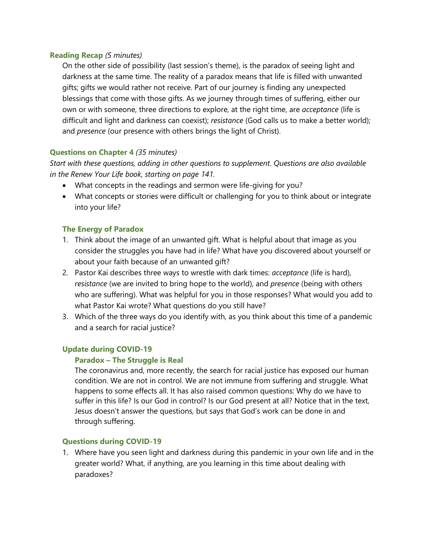#### **Reading Recap** *(5 minutes)*

On the other side of possibility (last session's theme), is the paradox of seeing light and darkness at the same time. The reality of a paradox means that life is filled with unwanted gifts; gifts we would rather not receive. Part of our journey is finding any unexpected blessings that come with those gifts. As we journey through times of suffering, either our own or with someone, three directions to explore, at the right time, are *acceptance* (life is difficult and light and darkness can coexist); *resistance* (God calls us to make a better world); and *presence* (our presence with others brings the light of Christ).

# **Questions on Chapter 4** *(35 minutes)*

*Start with these questions, adding in other questions to supplement. Questions are also available in the Renew Your Life book, starting on page 141.*

- What concepts in the readings and sermon were life-giving for you?
- What concepts or stories were difficult or challenging for you to think about or integrate into your life?

#### **The Energy of Paradox**

- 1. Think about the image of an unwanted gift. What is helpful about that image as you consider the struggles you have had in life? What have you discovered about yourself or about your faith because of an unwanted gift?
- 2. Pastor Kai describes three ways to wrestle with dark times: *acceptance* (life is hard), *resistance* (we are invited to bring hope to the world), and *presence* (being with others who are suffering). What was helpful for you in those responses? What would you add to what Pastor Kai wrote? What questions do you still have?
- 3. Which of the three ways do you identify with, as you think about this time of a pandemic and a search for racial justice?

# **Update during COVID-19**

#### **Paradox – The Struggle is Real**

The coronavirus and, more recently, the search for racial justice has exposed our human condition. We are not in control. We are not immune from suffering and struggle. What happens to some effects all. It has also raised common questions: Why do we have to suffer in this life? Is our God in control? Is our God present at all? Notice that in the text, Jesus doesn't answer the questions, but says that God's work can be done in and through suffering.

#### **Questions during COVID-19**

1. Where have you seen light and darkness during this pandemic in your own life and in the greater world? What, if anything, are you learning in this time about dealing with paradoxes?